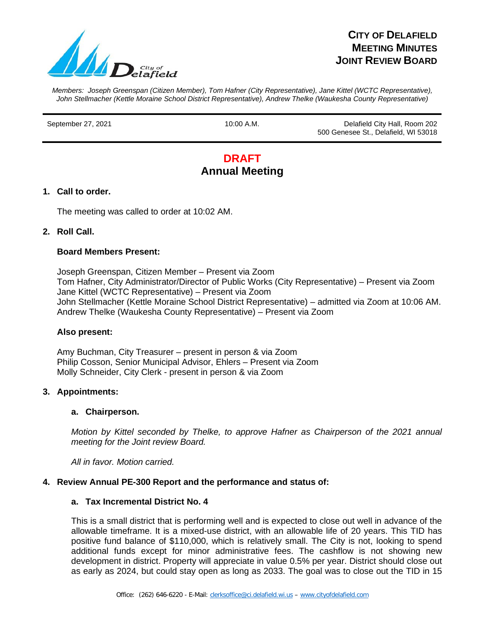

## **CITY OF DELAFIELD MEETING MINUTES JOINT REVIEW BOARD**

*Members: Joseph Greenspan (Citizen Member), Tom Hafner (City Representative), Jane Kittel (WCTC Representative), John Stellmacher (Kettle Moraine School District Representative), Andrew Thelke (Waukesha County Representative)*

September 27, 2021 10:00 A.M. Delafield City Hall, Room 202 500 Genesee St., Delafield, WI 53018

# **DRAFT Annual Meeting**

## **1. Call to order.**

The meeting was called to order at 10:02 AM.

#### **2. Roll Call.**

#### **Board Members Present:**

Joseph Greenspan, Citizen Member – Present via Zoom Tom Hafner, City Administrator/Director of Public Works (City Representative) – Present via Zoom Jane Kittel (WCTC Representative) – Present via Zoom John Stellmacher (Kettle Moraine School District Representative) – admitted via Zoom at 10:06 AM. Andrew Thelke (Waukesha County Representative) – Present via Zoom

#### **Also present:**

Amy Buchman, City Treasurer – present in person & via Zoom Philip Cosson, Senior Municipal Advisor, Ehlers – Present via Zoom Molly Schneider, City Clerk - present in person & via Zoom

#### **3. Appointments:**

#### **a. Chairperson.**

*Motion by Kittel seconded by Thelke, to approve Hafner as Chairperson of the 2021 annual meeting for the Joint review Board.* 

*All in favor. Motion carried.* 

#### **4. Review Annual PE-300 Report and the performance and status of:**

#### **a. Tax Incremental District No. 4**

This is a small district that is performing well and is expected to close out well in advance of the allowable timeframe. It is a mixed-use district, with an allowable life of 20 years. This TID has positive fund balance of \$110,000, which is relatively small. The City is not, looking to spend additional funds except for minor administrative fees. The cashflow is not showing new development in district. Property will appreciate in value 0.5% per year. District should close out as early as 2024, but could stay open as long as 2033. The goal was to close out the TID in 15